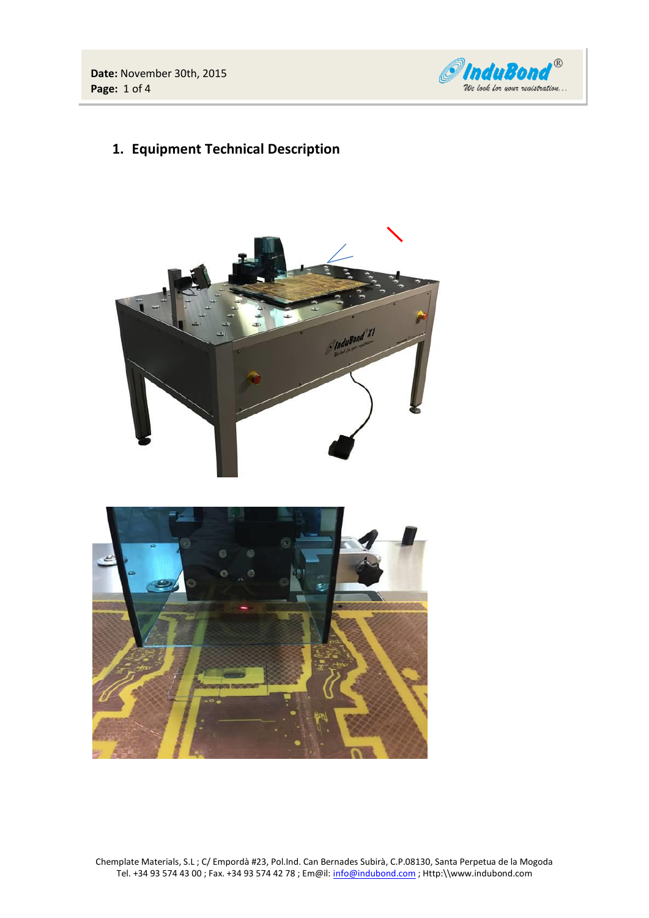**Date:** November 30th, 2015 **Page:** 1 of 4



**1. Equipment Technical Description**





Chemplate Materials, S.L ; C/ Empordà #23, Pol.Ind. Can Bernades Subirà, C.P.08130, Santa Perpetua de la Mogoda Tel. +34 93 574 43 00 ; Fax. +34 93 574 42 78 ; Em@il[: info@indubond.com](mailto:chemplate@chemplate.com) ; Http:\\www.indubond.com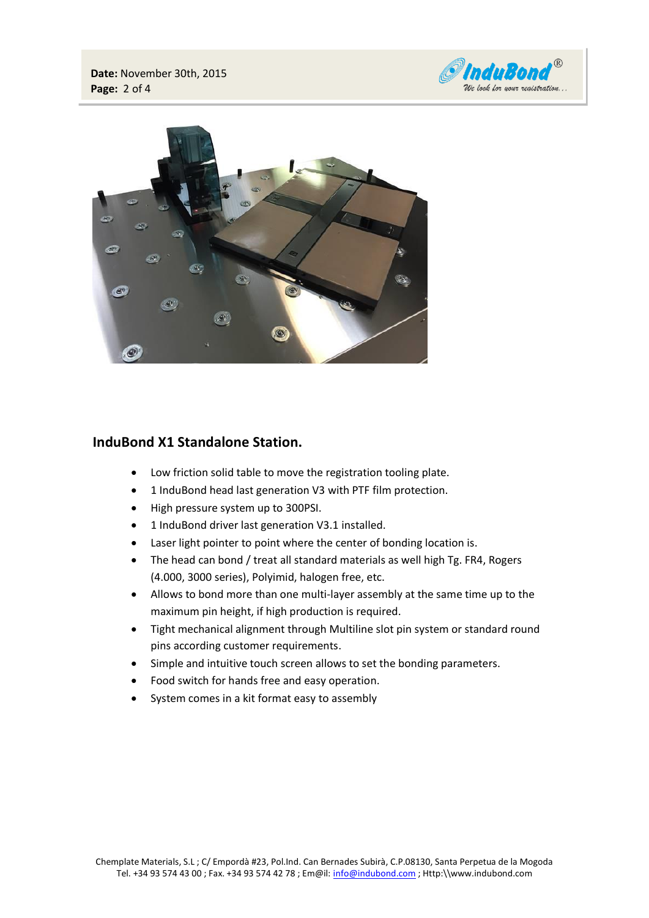



# **InduBond X1 Standalone Station.**

- Low friction solid table to move the registration tooling plate.
- 1 InduBond head last generation V3 with PTF film protection.
- High pressure system up to 300PSI.
- 1 InduBond driver last generation V3.1 installed.
- Laser light pointer to point where the center of bonding location is.
- The head can bond / treat all standard materials as well high Tg. FR4, Rogers (4.000, 3000 series), Polyimid, halogen free, etc.
- Allows to bond more than one multi-layer assembly at the same time up to the maximum pin height, if high production is required.
- Tight mechanical alignment through Multiline slot pin system or standard round pins according customer requirements.
- Simple and intuitive touch screen allows to set the bonding parameters.
- Food switch for hands free and easy operation.
- System comes in a kit format easy to assembly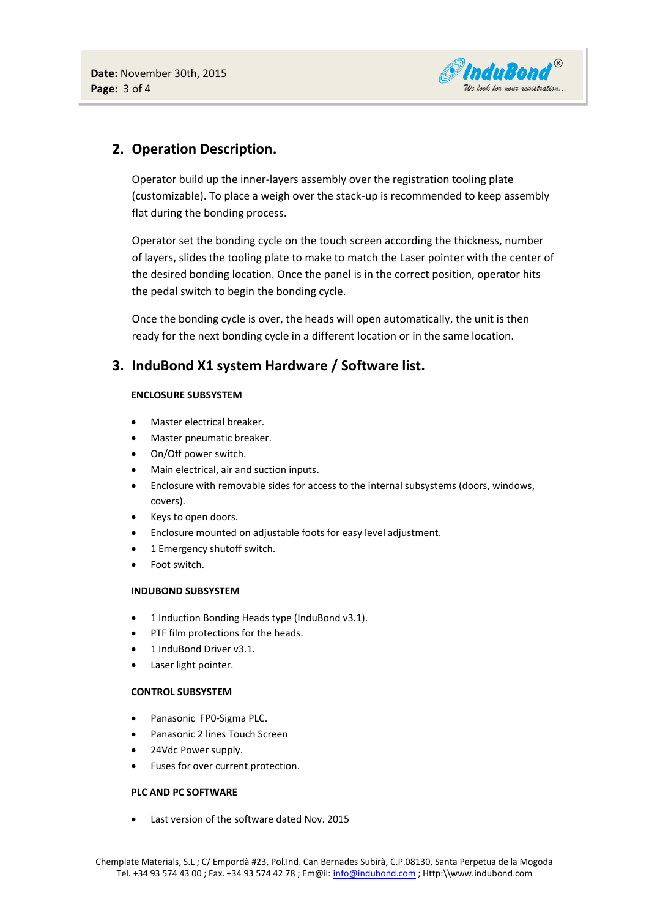

# **2. Operation Description.**

Operator build up the inner-layers assembly over the registration tooling plate (customizable). To place a weigh over the stack-up is recommended to keep assembly flat during the bonding process.

Operator set the bonding cycle on the touch screen according the thickness, number of layers, slides the tooling plate to make to match the Laser pointer with the center of the desired bonding location. Once the panel is in the correct position, operator hits the pedal switch to begin the bonding cycle.

Once the bonding cycle is over, the heads will open automatically, the unit is then ready for the next bonding cycle in a different location or in the same location.

## **3. InduBond X1 system Hardware / Software list.**

### **ENCLOSURE SUBSYSTEM**

- Master electrical breaker.
- Master pneumatic breaker.
- On/Off power switch.
- Main electrical, air and suction inputs.
- Enclosure with removable sides for access to the internal subsystems (doors, windows, covers).
- Keys to open doors.
- Enclosure mounted on adjustable foots for easy level adjustment.
- 1 Emergency shutoff switch.
- Foot switch.

### **INDUBOND SUBSYSTEM**

- 1 Induction Bonding Heads type (InduBond v3.1).
- PTF film protections for the heads.
- 1 InduBond Driver v3.1.
- Laser light pointer.

### **CONTROL SUBSYSTEM**

- Panasonic FPO-Sigma PLC.
- Panasonic 2 lines Touch Screen
- 24Vdc Power supply.
- Fuses for over current protection.

### **PLC AND PC SOFTWARE**

Last version of the software dated Nov. 2015